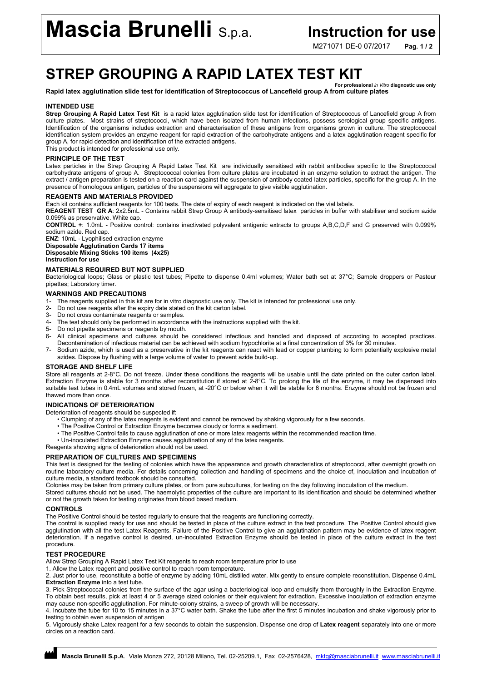# Mascia Brunelli S.p.a. Instruction for use

M271071 DE-0 07/2017 Pag. 1/2

# STREP GROUPING A RAPID LATEX TEST KIT For professional *in Vitro* diagnostic use only

#### Rapid latex agglutination slide test for identification of Streptococcus of Lancefield group A from culture plates

#### INTENDED USE

Strep Grouping A Rapid Latex Test Kit is a rapid latex agglutination slide test for identification of Streptococcus of Lancefield group A from culture plates. Most strains of streptococci, which have been isolated from human infections, possess serological group specific antigens. Identification of the organisms includes extraction and characterisation of these antigens from organisms grown in culture. The streptococcal identification system provides an enzyme reagent for rapid extraction of the carbohydrate antigens and a latex agglutination reagent specific for group A, for rapid detection and identification of the extracted antigens.

This product is intended for professional use only.

### PRINCIPLE OF THE TEST

Latex particles in the Strep Grouping A Rapid Latex Test Kit are individually sensitised with rabbit antibodies specific to the Streptococcal carbohydrate antigens of group A. Streptococcal colonies from culture plates are incubated in an enzyme solution to extract the antigen. The extract / antigen preparation is tested on a reaction card against the suspension of antibody coated latex particles, specific for the group A. In the presence of homologous antigen, particles of the suspensions will aggregate to give visible agglutination.

#### REAGENTS AND MATERIALS PROVIDED

Each kit contains sufficient reagents for 100 tests. The date of expiry of each reagent is indicated on the vial labels.

REAGENT TEST GR A: 2x2.5mL - Contains rabbit Strep Group A antibody-sensitised latex particles in buffer with stabiliser and sodium azide 0.099% as preservative. White cap.

CONTROL +: 1.0mL - Positive control: contains inactivated polyvalent antigenic extracts to groups A,B,C,D,F and G preserved with 0.099% sodium azide. Red cap.

ENZ: 10mL - Lyophilised extraction enzyme Disposable Agglutination Cards 17 items Disposable Mixing Sticks 100 items (4x25)

Instruction for use

#### MATERIALS REQUIRED BUT NOT SUPPLIED

Bacteriological loops; Glass or plastic test tubes; Pipette to dispense 0.4ml volumes; Water bath set at 37°C; Sample droppers or Pasteur pipettes; Laboratory timer.

#### WARNINGS AND PRECAUTIONS

- 1- The reagents supplied in this kit are for in vitro diagnostic use only. The kit is intended for professional use only.
- 2- Do not use reagents after the expiry date stated on the kit carton label.
- 3- Do not cross contaminate reagents or samples.<br>4- The test should only be performed in accordance
- The test should only be performed in accordance with the instructions supplied with the kit.
- 5- Do not pipette specimens or reagents by mouth.
- 6- All clinical specimens and cultures should be considered infectious and handled and disposed of according to accepted practices.
- Decontamination of infectious material can be achieved with sodium hypochlorite at a final concentration of 3% for 30 minutes.
- 7- Sodium azide, which is used as a preservative in the kit reagents can react with lead or copper plumbing to form potentially explosive metal azides. Dispose by flushing with a large volume of water to prevent azide build-up.

#### STORAGE AND SHELF LIFE

Store all reagents at 2-8°C. Do not freeze. Under these conditions the reagents will be usable until the date printed on the outer carton label. Extraction Enzyme is stable for 3 months after reconstitution if stored at 2-8°C. To prolong the life of the enzyme, it may be dispensed into suitable test tubes in 0.4mL volumes and stored frozen, at -20°C or below when it will be stable for 6 months. Enzyme should not be frozen and thawed more than once.

#### INDICATIONS OF DETERIORATION

Deterioration of reagents should be suspected if:

- Clumping of any of the latex reagents is evident and cannot be removed by shaking vigorously for a few seconds.
- The Positive Control or Extraction Enzyme becomes cloudy or forms a sediment.
- The Positive Control fails to cause agglutination of one or more latex reagents within the recommended reaction time.
- Un-inoculated Extraction Enzyme causes agglutination of any of the latex reagents.

Reagents showing signs of deterioration should not be used.

## PREPARATION OF CULTURES AND SPECIMENS

This test is designed for the testing of colonies which have the appearance and growth characteristics of streptococci, after overnight growth on routine laboratory culture media. For details concerning collection and handling of specimens and the choice of, inoculation and incubation of culture media, a standard textbook should be consulted.

Colonies may be taken from primary culture plates, or from pure subcultures, for testing on the day following inoculation of the medium.

Stored cultures should not be used. The haemolytic properties of the culture are important to its identification and should be determined whether or not the growth taken for testing originates from blood based medium.

#### CONTROLS

The Positive Control should be tested regularly to ensure that the reagents are functioning correctly.

The control is supplied ready for use and should be tested in place of the culture extract in the test procedure. The Positive Control should give agglutination with all the test Latex Reagents. Failure of the Positive Control to give an agglutination pattern may be evidence of latex reagent deterioration. If a negative control is desired, un-inoculated Extraction Enzyme should be tested in place of the culture extract in the test procedure.

#### TEST PROCEDURE

Allow Strep Grouping A Rapid Latex Test Kit reagents to reach room temperature prior to use

1. Allow the Latex reagent and positive control to reach room temperature.

2. Just prior to use, reconstitute a bottle of enzyme by adding 10mL distilled water. Mix gently to ensure complete reconstitution. Dispense 0.4mL Extraction Enzyme into a test tube.

3. Pick Streptococcal colonies from the surface of the agar using a bacteriological loop and emulsify them thoroughly in the Extraction Enzyme. To obtain best results, pick at least 4 or 5 average sized colonies or their equivalent for extraction. Excessive inoculation of extraction enzyme may cause non-specific agglutination. For minute-colony strains, a sweep of growth will be necessary.

4. Incubate the tube for 10 to 15 minutes in a 37°C water bath. Shake the tube after the first 5 minutes incubation and shake vigorously prior to testing to obtain even suspension of antigen.

5. Vigorously shake Latex reagent for a few seconds to obtain the suspension. Dispense one drop of Latex reagent separately into one or more circles on a reaction card.